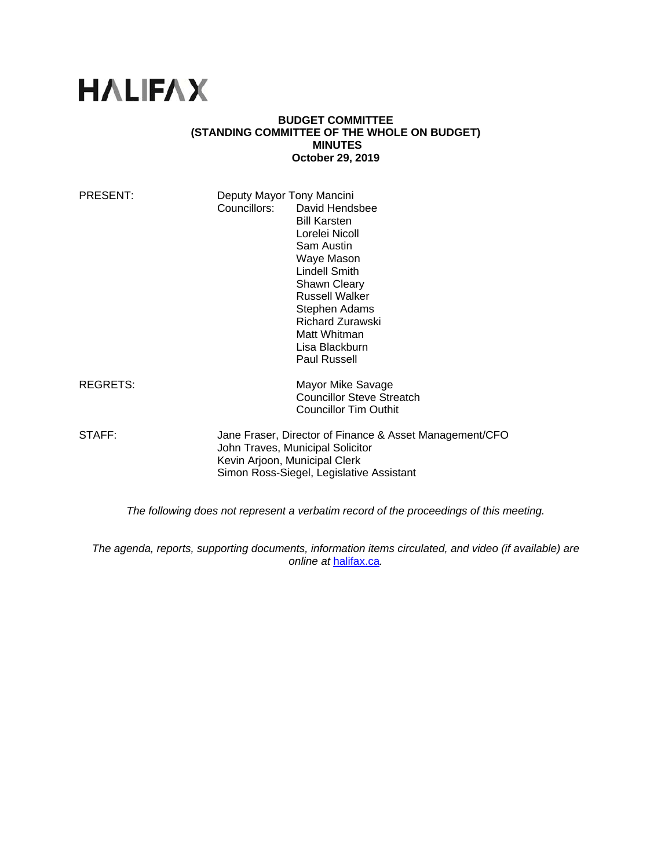# **HALIFAX**

#### **BUDGET COMMITTEE (STANDING COMMITTEE OF THE WHOLE ON BUDGET) MINUTES October 29, 2019**

| PRESENT:                                                                               | Deputy Mayor Tony Mancini     |                                                         |
|----------------------------------------------------------------------------------------|-------------------------------|---------------------------------------------------------|
|                                                                                        | Councillors:                  | David Hendsbee                                          |
|                                                                                        |                               | <b>Bill Karsten</b>                                     |
|                                                                                        |                               | Lorelei Nicoll                                          |
|                                                                                        |                               | Sam Austin                                              |
|                                                                                        |                               | Waye Mason                                              |
|                                                                                        |                               | <b>Lindell Smith</b>                                    |
|                                                                                        |                               |                                                         |
|                                                                                        |                               | Shawn Cleary                                            |
|                                                                                        |                               | <b>Russell Walker</b>                                   |
|                                                                                        |                               | Stephen Adams                                           |
|                                                                                        |                               | Richard Zurawski                                        |
|                                                                                        |                               | Matt Whitman                                            |
|                                                                                        |                               | Lisa Blackburn                                          |
|                                                                                        |                               | <b>Paul Russell</b>                                     |
| <b>REGRETS:</b>                                                                        |                               | Mayor Mike Savage                                       |
|                                                                                        |                               | <b>Councillor Steve Streatch</b>                        |
|                                                                                        |                               | <b>Councillor Tim Outhit</b>                            |
|                                                                                        |                               |                                                         |
| STAFF:                                                                                 |                               | Jane Fraser, Director of Finance & Asset Management/CFO |
|                                                                                        |                               | John Traves, Municipal Solicitor                        |
|                                                                                        | Kevin Arjoon, Municipal Clerk |                                                         |
|                                                                                        |                               | Simon Ross-Siegel, Legislative Assistant                |
|                                                                                        |                               |                                                         |
| The following does not represent a verbatim record of the proceedings of this meeting. |                               |                                                         |

*The agenda, reports, supporting documents, information items circulated, and video (if available) are online at* halifax.ca*.*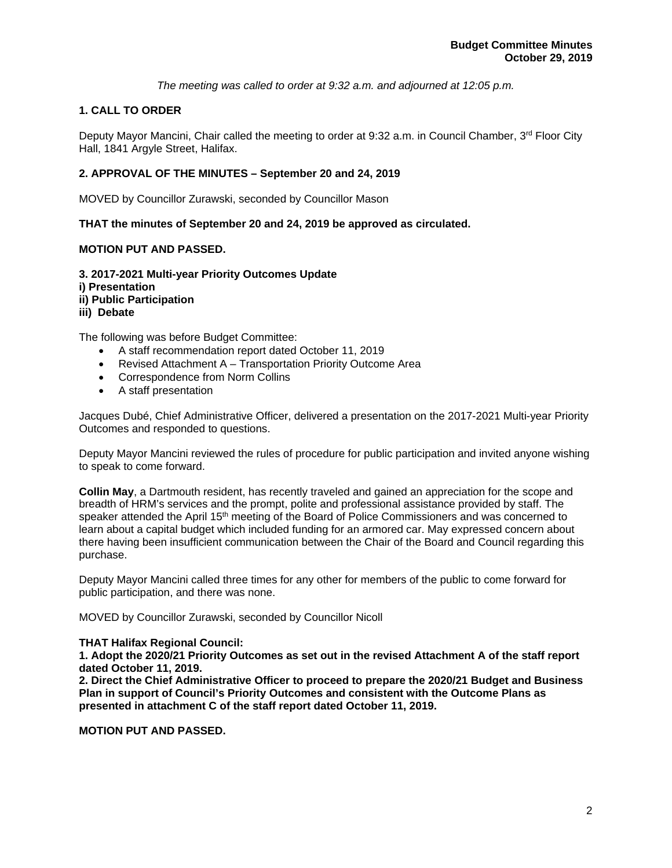*The meeting was called to order at 9:32 a.m. and adjourned at 12:05 p.m.*

# **1. CALL TO ORDER**

Deputy Mayor Mancini, Chair called the meeting to order at 9:32 a.m. in Council Chamber, 3rd Floor City Hall, 1841 Argyle Street, Halifax.

## **2. APPROVAL OF THE MINUTES – September 20 and 24, 2019**

MOVED by Councillor Zurawski, seconded by Councillor Mason

**THAT the minutes of September 20 and 24, 2019 be approved as circulated.** 

### **MOTION PUT AND PASSED.**

**3. 2017-2021 Multi-year Priority Outcomes Update i) Presentation ii) Public Participation iii) Debate** 

The following was before Budget Committee:

- A staff recommendation report dated October 11, 2019
- Revised Attachment A Transportation Priority Outcome Area
- Correspondence from Norm Collins
- A staff presentation

Jacques Dubé, Chief Administrative Officer, delivered a presentation on the 2017-2021 Multi-year Priority Outcomes and responded to questions.

Deputy Mayor Mancini reviewed the rules of procedure for public participation and invited anyone wishing to speak to come forward.

**Collin May**, a Dartmouth resident, has recently traveled and gained an appreciation for the scope and breadth of HRM's services and the prompt, polite and professional assistance provided by staff. The speaker attended the April 15<sup>th</sup> meeting of the Board of Police Commissioners and was concerned to learn about a capital budget which included funding for an armored car. May expressed concern about there having been insufficient communication between the Chair of the Board and Council regarding this purchase.

Deputy Mayor Mancini called three times for any other for members of the public to come forward for public participation, and there was none.

MOVED by Councillor Zurawski, seconded by Councillor Nicoll

### **THAT Halifax Regional Council:**

**1. Adopt the 2020/21 Priority Outcomes as set out in the revised Attachment A of the staff report dated October 11, 2019.** 

**2. Direct the Chief Administrative Officer to proceed to prepare the 2020/21 Budget and Business Plan in support of Council's Priority Outcomes and consistent with the Outcome Plans as presented in attachment C of the staff report dated October 11, 2019.** 

**MOTION PUT AND PASSED.**